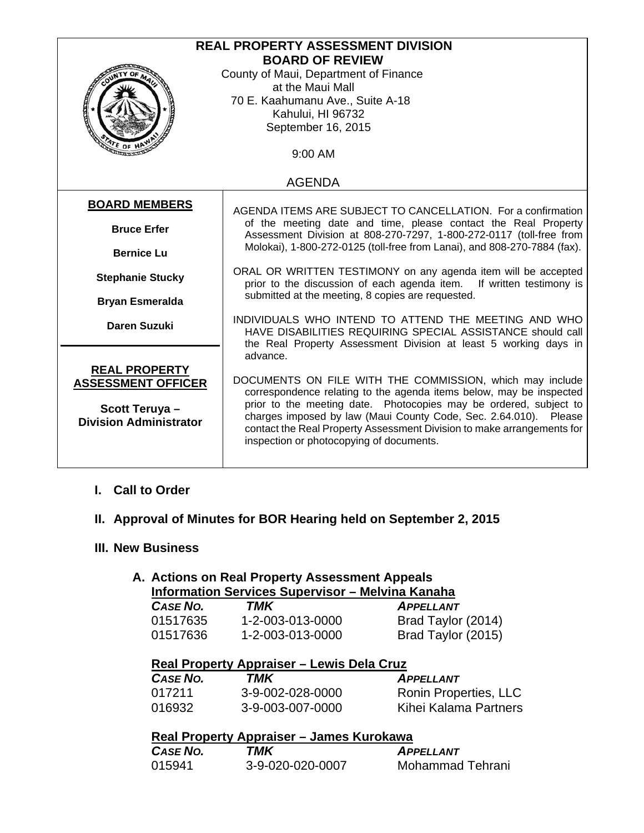| <b>REAL PROPERTY ASSESSMENT DIVISION</b><br><b>BOARD OF REVIEW</b><br>County of Maui, Department of Finance<br>at the Maui Mall<br>70 E. Kaahumanu Ave., Suite A-18<br>Kahului, HI 96732<br>September 16, 2015 |                                                                                                                                                                                                                                                                                                                                                                                                            |  |  |  |
|----------------------------------------------------------------------------------------------------------------------------------------------------------------------------------------------------------------|------------------------------------------------------------------------------------------------------------------------------------------------------------------------------------------------------------------------------------------------------------------------------------------------------------------------------------------------------------------------------------------------------------|--|--|--|
| <b>ITE OF H</b><br>9:00 AM                                                                                                                                                                                     |                                                                                                                                                                                                                                                                                                                                                                                                            |  |  |  |
| <b>AGENDA</b>                                                                                                                                                                                                  |                                                                                                                                                                                                                                                                                                                                                                                                            |  |  |  |
| <b>BOARD MEMBERS</b>                                                                                                                                                                                           | AGENDA ITEMS ARE SUBJECT TO CANCELLATION. For a confirmation                                                                                                                                                                                                                                                                                                                                               |  |  |  |
| <b>Bruce Erfer</b>                                                                                                                                                                                             | of the meeting date and time, please contact the Real Property<br>Assessment Division at 808-270-7297, 1-800-272-0117 (toll-free from<br>Molokai), 1-800-272-0125 (toll-free from Lanai), and 808-270-7884 (fax).<br>ORAL OR WRITTEN TESTIMONY on any agenda item will be accepted<br>prior to the discussion of each agenda item.<br>If written testimony is                                              |  |  |  |
| <b>Bernice Lu</b>                                                                                                                                                                                              |                                                                                                                                                                                                                                                                                                                                                                                                            |  |  |  |
| <b>Stephanie Stucky</b>                                                                                                                                                                                        |                                                                                                                                                                                                                                                                                                                                                                                                            |  |  |  |
| <b>Bryan Esmeralda</b>                                                                                                                                                                                         | submitted at the meeting, 8 copies are requested.                                                                                                                                                                                                                                                                                                                                                          |  |  |  |
| <b>Daren Suzuki</b>                                                                                                                                                                                            | INDIVIDUALS WHO INTEND TO ATTEND THE MEETING AND WHO<br>HAVE DISABILITIES REQUIRING SPECIAL ASSISTANCE should call<br>the Real Property Assessment Division at least 5 working days in                                                                                                                                                                                                                     |  |  |  |
| <b>REAL PROPERTY</b><br><b>ASSESSMENT OFFICER</b><br>Scott Teruya-<br><b>Division Administrator</b>                                                                                                            | advance.<br>DOCUMENTS ON FILE WITH THE COMMISSION, which may include<br>correspondence relating to the agenda items below, may be inspected<br>prior to the meeting date. Photocopies may be ordered, subject to<br>charges imposed by law (Maui County Code, Sec. 2.64.010). Please<br>contact the Real Property Assessment Division to make arrangements for<br>inspection or photocopying of documents. |  |  |  |

### **I. Call to Order**

## **II. Approval of Minutes for BOR Hearing held on September 2, 2015**

#### **III. New Business**

# **A. Actions on Real Property Assessment Appeals Information Services Supervisor – Melvina Kanaha**

| <b>CASE NO.</b> | TMK              | <b>APPELLANT</b>   |
|-----------------|------------------|--------------------|
| 01517635        | 1-2-003-013-0000 | Brad Taylor (2014) |
| 01517636        | 1-2-003-013-0000 | Brad Taylor (2015) |

## **Real Property Appraiser – Lewis Dela Cruz**

| CASE NO. | TMK              | <b>APPELLANT</b>      |
|----------|------------------|-----------------------|
| 017211   | 3-9-002-028-0000 | Ronin Properties, LLC |
| 016932   | 3-9-003-007-0000 | Kihei Kalama Partners |

# **Real Property Appraiser – James Kurokawa**

| CASE NO. | TMK              | <b>APPELLANT</b> |
|----------|------------------|------------------|
| 015941   | 3-9-020-020-0007 | Mohammad Tehrani |